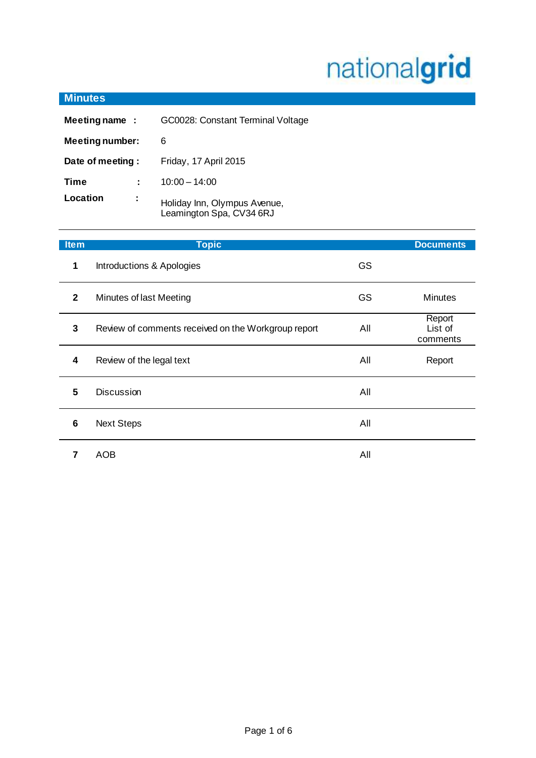# nationalgrid

| <b>Minutes</b>         |   |                                                          |
|------------------------|---|----------------------------------------------------------|
| Meeting name:          |   | GC0028: Constant Terminal Voltage                        |
| <b>Meeting number:</b> |   | 6                                                        |
| Date of meeting :      |   | Friday, 17 April 2015                                    |
| Time                   | ÷ | $10:00 - 14:00$                                          |
| Location               | ٠ | Holiday Inn, Olympus Avenue,<br>Leamington Spa, CV34 6RJ |

| <b>Item</b>  | <b>Topic</b>                                        |           | <b>Documents</b>              |
|--------------|-----------------------------------------------------|-----------|-------------------------------|
| 1            | Introductions & Apologies                           | <b>GS</b> |                               |
| $\mathbf{2}$ | Minutes of last Meeting                             | <b>GS</b> | <b>Minutes</b>                |
| 3            | Review of comments received on the Workgroup report | All       | Report<br>List of<br>comments |
| 4            | Review of the legal text                            | All       | Report                        |
| 5            | <b>Discussion</b>                                   | All       |                               |
| 6            | <b>Next Steps</b>                                   | All       |                               |
|              | AOB                                                 | All       |                               |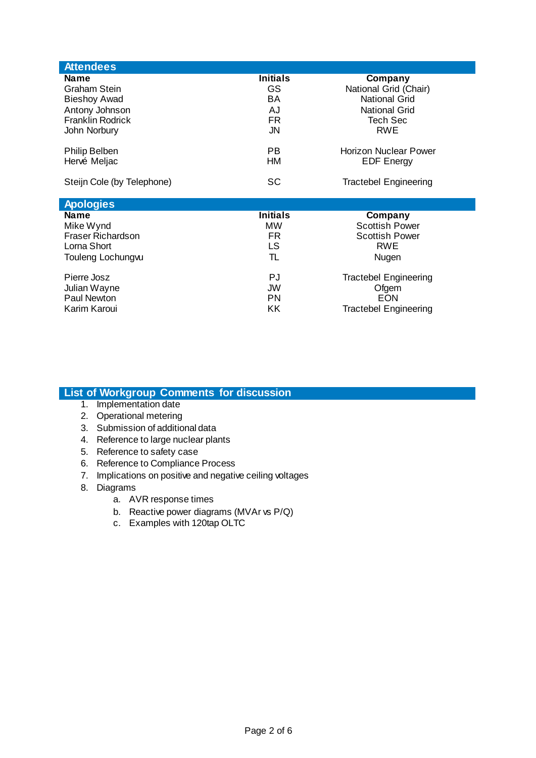| <b>Attendees</b>           |                 |                                       |
|----------------------------|-----------------|---------------------------------------|
| Name                       | <b>Initials</b> | Company                               |
| Graham Stein               | GS              | National Grid (Chair)                 |
| <b>Bieshoy Awad</b>        | BA              | <b>National Grid</b>                  |
| Antony Johnson             | AJ              | <b>National Grid</b>                  |
| <b>Franklin Rodrick</b>    | FR.             | Tech Sec                              |
| John Norbury               | JN              | <b>RWE</b>                            |
| Philip Belben              | <b>PB</b>       | Horizon Nuclear Power                 |
| Hervé Meljac               | HM              | <b>EDF Energy</b>                     |
| Steijn Cole (by Telephone) | <b>SC</b>       |                                       |
|                            |                 | <b>Tractebel Engineering</b>          |
|                            |                 |                                       |
| <b>Apologies</b>           |                 |                                       |
| <b>Name</b>                | <b>Initials</b> | Company                               |
| Mike Wynd                  | <b>MW</b>       | <b>Scottish Power</b>                 |
| Fraser Richardson          | FR.             | <b>Scottish Power</b>                 |
| Lorna Short                | LS.             | <b>RWE</b>                            |
| Touleng Lochungw           | TL              | Nugen                                 |
| Pierre Josz                | PJ              |                                       |
| Julian Wayne               | JW              | <b>Tractebel Engineering</b><br>Ofgem |
| Paul Newton                | PN              | EON                                   |
| Karim Karoui               | KK              | <b>Tractebel Engineering</b>          |

# **List of Workgroup Comments for discussion**

- 1. Implementation date
- 2. Operational metering
- 3. Submission of additional data
- 4. Reference to large nuclear plants
- 5. Reference to safety case
- 6. Reference to Compliance Process
- 7. Implications on positive and negative ceiling voltages
- 8. Diagrams
	- a. AVR response times
	- b. Reactive power diagrams (MVAr vs P/Q)
	- c. Examples with 120tap OLTC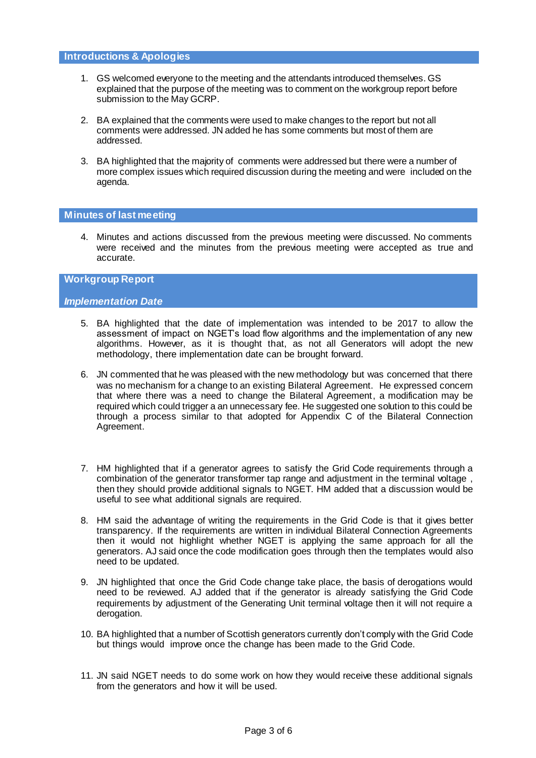- 1. GS welcomed everyone to the meeting and the attendants introduced themselves. GS explained that the purpose of the meeting was to comment on the workgroup report before submission to the May GCRP.
- 2. BA explained that the comments were used to make changes to the report but not all comments were addressed. JN added he has some comments but most of them are addressed.
- 3. BA highlighted that the majority of comments were addressed but there were a number of more complex issues which required discussion during the meeting and were included on the agenda.

# **Minutes of last meeting**

4. Minutes and actions discussed from the previous meeting were discussed. No comments were received and the minutes from the previous meeting were accepted as true and accurate.

## **Workgroup Report**

# *Implementation Date*

- 5. BA highlighted that the date of implementation was intended to be 2017 to allow the assessment of impact on NGET's load flow algorithms and the implementation of any new algorithms. However, as it is thought that, as not all Generators will adopt the new methodology, there implementation date can be brought forward.
- 6. JN commented that he was pleased with the new methodology but was concerned that there was no mechanism for a change to an existing Bilateral Agreement. He expressed concern that where there was a need to change the Bilateral Agreement, a modification may be required which could trigger a an unnecessary fee. He suggested one solution to this could be through a process similar to that adopted for Appendix C of the Bilateral Connection Agreement.
- 7. HM highlighted that if a generator agrees to satisfy the Grid Code requirements through a combination of the generator transformer tap range and adjustment in the terminal voltage , then they should provide additional signals to NGET. HM added that a discussion would be useful to see what additional signals are required.
- 8. HM said the advantage of writing the requirements in the Grid Code is that it gives better transparency. If the requirements are written in individual Bilateral Connection Agreements then it would not highlight whether NGET is applying the same approach for all the generators. AJ said once the code modification goes through then the templates would also need to be updated.
- 9. JN highlighted that once the Grid Code change take place, the basis of derogations would need to be reviewed. AJ added that if the generator is already satisfying the Grid Code requirements by adjustment of the Generating Unit terminal voltage then it will not require a derogation.
- 10. BA highlighted that a number of Scottish generators currently don't comply with the Grid Code but things would improve once the change has been made to the Grid Code.
- 11. JN said NGET needs to do some work on how they would receive these additional signals from the generators and how it will be used.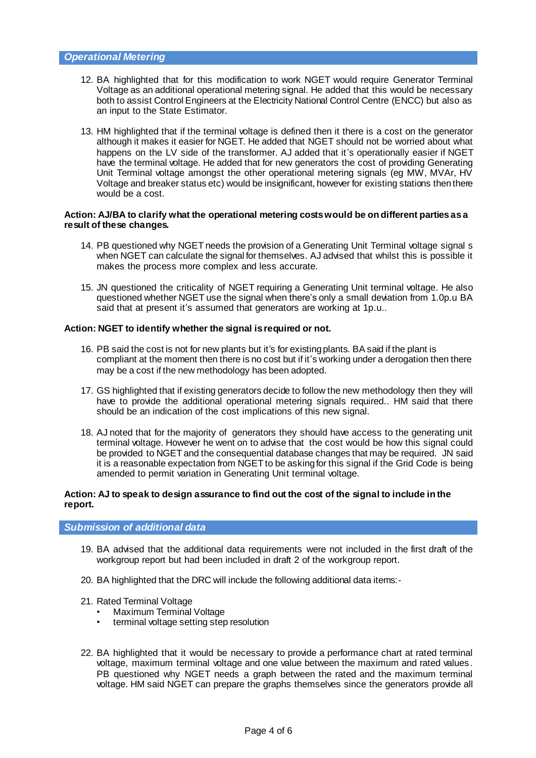- 12. BA highlighted that for this modification to work NGET would require Generator Terminal Voltage as an additional operational metering signal. He added that this would be necessary both to assist Control Engineers at the Electricity National Control Centre (ENCC) but also as an input to the State Estimator.
- 13. HM highlighted that if the terminal voltage is defined then it there is a cost on the generator although it makes it easier for NGET. He added that NGET should not be worried about what happens on the LV side of the transformer. AJ added that it's operationally easier if NGET have the terminal voltage. He added that for new generators the cost of providing Generating Unit Terminal voltage amongst the other operational metering signals (eg MW, MVAr, HV Voltage and breaker status etc) would be insignificant, however for existing stations then there would be a cost.

#### **Action: AJ/BA to clarify what the operational metering costs would be on different parties as a result of these changes.**

- 14. PB questioned why NGET needs the provision of a Generating Unit Terminal voltage signal s when NGET can calculate the signal for themselves. AJ advised that whilst this is possible it makes the process more complex and less accurate.
- 15. JN questioned the criticality of NGET requiring a Generating Unit terminal voltage. He also questioned whether NGET use the signal when there's only a small deviation from 1.0p.u BA said that at present it's assumed that generators are working at 1p.u..

#### **Action: NGET to identify whether the signal is required or not.**

- 16. PB said the cost is not for new plants but it's for existing plants. BA said if the plant is compliant at the moment then there is no cost but if it's working under a derogation then there may be a cost if the new methodology has been adopted.
- 17. GS highlighted that if existing generators decide to follow the new methodology then they will have to provide the additional operational metering signals required.. HM said that there should be an indication of the cost implications of this new signal.
- 18. AJ noted that for the majority of generators they should have access to the generating unit terminal voltage. However he went on to advise that the cost would be how this signal could be provided to NGET and the consequential database changes that may be required. JN said it is a reasonable expectation from NGET to be asking for this signal if the Grid Code is being amended to permit variation in Generating Unit terminal voltage.

#### **Action: AJ to speak to design assurance to find out the cost of the signal to include in the report.**

## *Submission of additional data*

- 19. BA advised that the additional data requirements were not included in the first draft of the workgroup report but had been included in draft 2 of the workgroup report.
- 20. BA highlighted that the DRC will include the following additional data items:-
- 21. Rated Terminal Voltage
	- Maximum Terminal Voltage
	- terminal voltage setting step resolution
- 22. BA highlighted that it would be necessary to provide a performance chart at rated terminal voltage, maximum terminal voltage and one value between the maximum and rated values . PB questioned why NGET needs a graph between the rated and the maximum terminal voltage. HM said NGET can prepare the graphs themselves since the generators provide all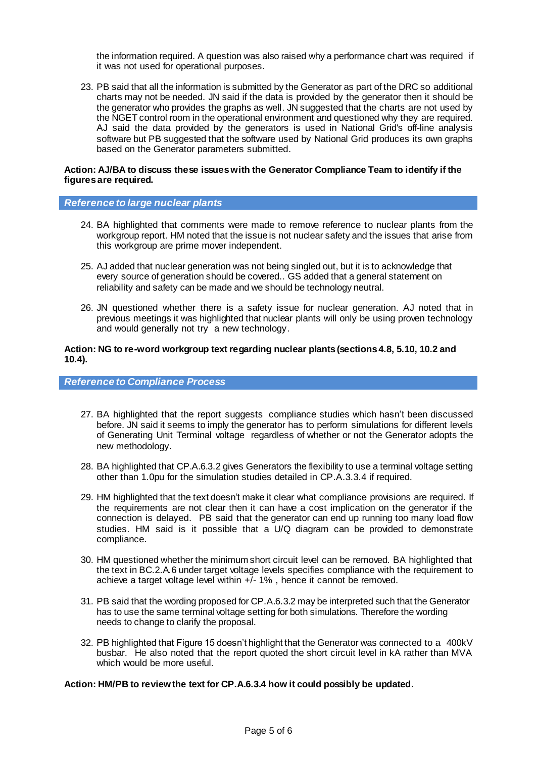the information required. A question was also raised why a performance chart was required if it was not used for operational purposes.

23. PB said that all the information is submitted by the Generator as part of the DRC so additional charts may not be needed. JN said if the data is provided by the generator then it should be the generator who provides the graphs as well. JN suggested that the charts are not used by the NGET control room in the operational environment and questioned why they are required. AJ said the data provided by the generators is used in National Grid's off-line analysis software but PB suggested that the software used by National Grid produces its own graphs based on the Generator parameters submitted.

#### **Action: AJ/BA to discuss these issues with the Generator Compliance Team to identify if the figures are required.**

#### *Reference to large nuclear plants*

- 24. BA highlighted that comments were made to remove reference to nuclear plants from the workgroup report. HM noted that the issue is not nuclear safety and the issues that arise from this workgroup are prime mover independent.
- 25. AJ added that nuclear generation was not being singled out, but it is to acknowledge that every source of generation should be covered.. GS added that a general statement on reliability and safety can be made and we should be technology neutral.
- 26. JN questioned whether there is a safety issue for nuclear generation. AJ noted that in previous meetings it was highlighted that nuclear plants will only be using proven technology and would generally not try a new technology.

## **Action: NG to re-word workgroup text regarding nuclear plants (sections 4.8, 5.10, 10.2 and 10.4).**

## *Reference to Compliance Process*

- 27. BA highlighted that the report suggests compliance studies which hasn't been discussed before. JN said it seems to imply the generator has to perform simulations for different levels of Generating Unit Terminal voltage regardless of whether or not the Generator adopts the new methodology.
- 28. BA highlighted that CP.A.6.3.2 gives Generators the flexibility to use a terminal voltage setting other than 1.0pu for the simulation studies detailed in CP.A.3.3.4 if required.
- 29. HM highlighted that the text doesn't make it clear what compliance provisions are required. If the requirements are not clear then it can have a cost implication on the generator if the connection is delayed. PB said that the generator can end up running too many load flow studies. HM said is it possible that a U/Q diagram can be provided to demonstrate compliance.
- 30. HM questioned whether the minimum short circuit level can be removed. BA highlighted that the text in BC.2.A.6 under target voltage levels specifies compliance with the requirement to achieve a target voltage level within  $+/-$  1%, hence it cannot be removed.
- 31. PB said that the wording proposed for CP.A.6.3.2 may be interpreted such that the Generator has to use the same terminal voltage setting for both simulations. Therefore the wording needs to change to clarify the proposal.
- 32. PB highlighted that Figure 15 doesn't highlight that the Generator was connected to a 400kV busbar. He also noted that the report quoted the short circuit level in kA rather than MVA which would be more useful.

#### **Action: HM/PB to review the text for CP.A.6.3.4 how it could possibly be updated.**